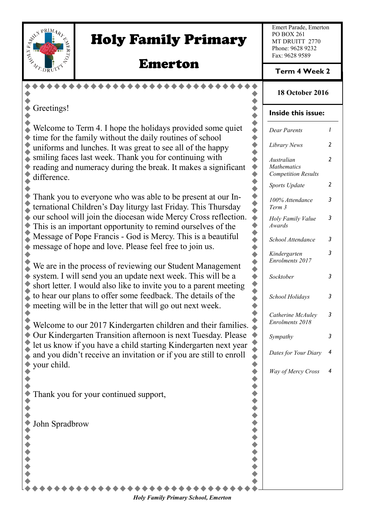

# Holy Family Primary

# Emerton

Emert Parade, Emerton PO BOX 261 MT DRUITT 2770 Phone: 9628 9232 Fax: 9628 9589

**Term 4 Week 2**

# **18 October 2016**

## **Inside this issue:**

 $\bullet$  $\bullet$  $\bullet$ 

۰

| some quiet            |                          | <b>Dear Parents</b>                              | I |
|-----------------------|--------------------------|--------------------------------------------------|---|
| hool                  |                          |                                                  |   |
| happy                 |                          | Library News                                     | 2 |
| with                  |                          | Australian                                       | 2 |
| significant           |                          | <b>Mathematics</b><br><b>Competition Results</b> |   |
|                       | きゅうきゅうきゅうきゅうきゅうきゅうきゅうきゅう | Sports Update                                    | 2 |
| at our In-            |                          | 100% Attendance                                  | 3 |
| Thursday              |                          | Term 3                                           |   |
| s reflection.         |                          | Holy Family Value                                | 3 |
| es of the             |                          | Awards                                           |   |
| beautiful             |                          | School Attendance                                | 3 |
| IS.                   |                          | Kindergarten                                     | 3 |
|                       |                          | Enrolments 2017                                  |   |
| nagement<br>will be a |                          | Socktober                                        | 3 |
| ent meeting           |                          |                                                  |   |
| ls of the             |                          | School Holidays                                  | 3 |
| eek.                  |                          |                                                  |   |
|                       |                          | Catherine McAuley                                | 3 |
| eir families.         |                          | Enrolments 2018                                  |   |
| sday. Please          |                          | Sympathy                                         | 3 |
| en next year          |                          | Dates for Your Diary                             | 4 |
| ill to enroll         |                          |                                                  |   |
|                       |                          | Way of Mercy Cross                               | 4 |
|                       |                          |                                                  |   |
|                       |                          |                                                  |   |
|                       |                          |                                                  |   |
|                       |                          |                                                  |   |
|                       |                          |                                                  |   |
|                       | ,,,,,,,,,,,,             |                                                  |   |
|                       |                          |                                                  |   |
|                       |                          |                                                  |   |
|                       |                          |                                                  |   |
|                       |                          |                                                  |   |

Greetings!  $\blacklozenge$ 

 $\bullet$ 

Welcome to Term 4. I hope the holidays provided some  $\bullet$  time for the family without the daily routines of school uniforms and lunches. It was great to see all of the  $\sum$  smiling faces last week. Thank you for continuing reading and numeracy during the break. It makes a difference. ă

Thank you to everyone who was able to be present ternational Children's Day liturgy last Friday. This our school will join the diocesan wide Mercy Cross  $\ddot{\bullet}$ This is an important opportunity to remind ourselve Message of Pope Francis - God is Mercy. This is a  $\bullet$  message of hope and love. Please feel free to join u ۰

We are in the process of reviewing our Student Management system. I will send you an update next week. This short letter. I would also like to invite you to a pare to hear our plans to offer some feedback. The details  $\ddot{\bullet}$ meeting will be in the letter that will go out next we  $\bullet$  $\bullet$ 

Welcome to our 2017 Kindergarten children and the Our Kindergarten Transition afternoon is next Tues let us know if you have a child starting Kindergarten next year. and you didn't receive an invitation or if you are still  $\bullet$ your child.  $\bullet$  $\blacklozenge$ 

Thank you for your continued support,

 $\begin{array}{ccc} \bullet & \bullet & \bullet \\ \bullet & \bullet & \bullet \end{array}$ John Spradbrow +++++

 $\blacklozenge$  $\blacklozenge$ 

 $\blacklozenge$  $\bullet$ 

*Holy Family Primary School, Emerton*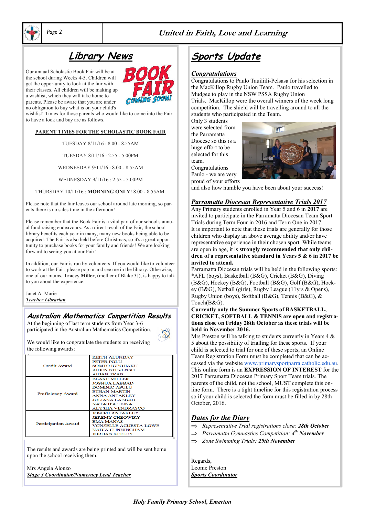

## *Page 2* **United in Faith, Love and Learning**

# **Library News**

Our annual Scholastic Book Fair will be at the school during Weeks 4-5. Children will get the opportunity to look at the fair with their classes. All children will be making up a wishlist, which they will take home to parents. Please be aware that you are under no obligation to buy what is on your child's

wishlist! Times for those parents who would like to come into the Fair to have a look and buy are as follows.

#### **PARENT TIMES FOR THE SCHOLASTIC BOOK FAIR**

TUESDAY 8/11/16 : 8.00 - 8.55AM

TUESDAY 8/11/16 : 2.55 - 5.00PM

WEDNESDAY 9/11/16 : 8.00 - 8.55AM

WEDNESDAY 9/11/16 : 2.55 - 5.00PM

THURSDAY 10/11/16 : **MORNING ONLY**! 8.00 - 8.55AM.

Please note that the fair leaves our school around late morning, so parents there is no sales time in the afternoon!

Please remember that the Book Fair is a vital part of our school's annual fund raising endeavours. As a direct result of the Fair, the school library benefits each year in many, many new books being able to be acquired. The Fair is also held before Christmas, so it's a great opportunity to purchase books for your family and friends! We are looking forward to seeing you at our Fair!

In addition, our Fair is run by volunteers. If you would like to volunteer to work at the Fair, please pop in and see me in the library. Otherwise, one of our mums, **Tracey Miller**, (mother of Blake 3J), is happy to talk to you about the experience.

Janet A. Marie *Teacher Librarian*

## **Australian Mathematics Competition Results**

At the beginning of last term students from Year 3-6 participated in the Australian Mathematics Competition.

We would like to congratulate the students on receiving the following awards:

| Credit Award               | <b>KEITH ALUNDAY</b><br>PETER POLU<br><b>SOMTO IGBOJIAKU</b><br><b>AIDEN STEVENSO</b><br><b>AIDAN TRAN</b>                                                                        |
|----------------------------|-----------------------------------------------------------------------------------------------------------------------------------------------------------------------------------|
| Proficiency Award          | <b>BLAKE MILLER</b><br><b>JOSHUA LABBAD</b><br><b>DOMINIC APULU</b><br><b>ETHAN MARTIN</b><br><b>ANNA ANTAKLEY</b><br><b>JULIANA LABBAD</b><br>NATAIH'A TEIKA<br>ALYSHA VENDRASCO |
| <b>Participation Award</b> | <b>JOSEPH ANTAKLEY</b><br><b>JEREMY CHEOWIRY</b><br><b>EMA MANAS</b><br><b>VONZELLE ACUESTA-LOWE</b><br>NADIA CUNNINGHAM<br><b>JORDAN KEELEY</b>                                  |

The results and awards are being printed and will be sent home upon the school receiving them.

Mrs Angela Alonzo *Stage 3 Coordinator/Numeracy Lead Teacher*

# **Sports Update**

#### *Congratulations*

Congratulations to Paulo Tauiliili-Pelsasa for his selection in the MacKillop Rugby Union Team. Paulo travelled to Mudgee to play in the NSW PSSA Rugby Union Trials. MacKillop were the overall winners of the week long competition. The shield will be travelling around to all the students who participated in the Team.

Only 3 students were selected from the Parramatta Diocese so this is a huge effort to be selected for this team. Congratulations



and also how humble you have been about your success!

#### *Parramatta Diocesan Representative Trials 2017*

Any Primary students enrolled in Year 5 and 6 in **2017** are invited to participate in the Parramatta Diocesan Team Sport Trials during Term Four in 2016 and Term One in 2017. It is important to note that these trials are generally for those children who display an above average ability and/or have representative experience in their chosen sport. While teams are open in age, it is **strongly recommended that only children of a representative standard in Years 5 & 6 in 2017 be invited to attend.**

Parramatta Diocesan trials will be held in the following sports: \*AFL (boys), Basketball (B&G), Cricket (B&G), Diving (B&G), Hockey (B&G), Football (B&G), Golf (B&G), Hockey (B&G), Netball (girls), Rugby League (11yrs & Opens), Rugby Union (boys), Softball (B&G), Tennis (B&G), & Touch(B&G).

#### **Currently only the Summer Sports of BASKETBALL, CRICKET, SOFTBALL & TENNIS are open and registrations close on Friday 28th October as these trials will be held in November 2016.**

Mrs Preston will be talking to students currently in Years  $4 \&$ 5 about the possibility of trialling for these sports. If your child is selected to trial for one of these sports, an Online Team Registration Form must be completed that can be accessed via the websit[e www.primarysportparra.catholic.edu.au.](http://www.primarysportparra.catholic.edu.au) This online form is an **EXPRESSION OF INTEREST** for the 2017 Parramatta Diocesan Primary Sport Team trials. The parents of the child, not the school, MUST complete this online form. There is a tight timeline for this registration process so if your child is selected the form must be filled in by 28th October, 2016.

## *Dates for the Diary*

- *Representative Trial registrations close: 28th October*
- *Parramatta Gymnastics Competition: 4 th November*
- *Zone Swimming Trials: 29th November*

Regards, Leonie Preston *Sports Coordinator*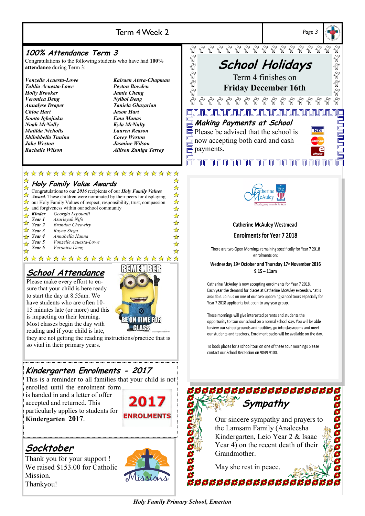

# Term 4 Week 2 *Page 3*

# **100% Attendance Term 3**

Congratulations to the following students who have had **100% attendance** during Term 3:

*Tahlia Acuesta-Lowe Peyton Bowden Holly Brooker Jamie Cheng Veronica Deng Nyibol Deng <i>Annalyse Draper Chloe Hart Jason Hart Somto Igbojiaku Ema Manas Noah McNally Kyla McNulty Matilda Nicholls Lauren Reason Shilohbella Tuuina Corey Weston Jake Weston Jasmine Wilson Rachelle Wilson Allison Zuniga Terrey*

*Vonzelle Acuesta-Lowe Kairaen Atera-Chapman*

☆



\*\*\*\*\*\*\*\*\*\*\*\*\*\*\*\*\*\*\*\*\* **Holy Family Value Awards**

|                                                            | $\lambda$ Flory I annly value Awards                                                                                                                                                                                                                                                                                       | ☆ |
|------------------------------------------------------------|----------------------------------------------------------------------------------------------------------------------------------------------------------------------------------------------------------------------------------------------------------------------------------------------------------------------------|---|
|                                                            | Congratulations to our 2016 recipients of our Holy Family Values                                                                                                                                                                                                                                                           |   |
|                                                            |                                                                                                                                                                                                                                                                                                                            | ☆ |
|                                                            | Congratulations to our $2010$ iccipients of our $\sim$ 10.000 and 10.000 and 10.000 and 10.000 and 10.000 and 10.000 and 10.000 and 10.000 and 10.000 and 10.000 and 10.000 and 10.000 and 10.000 and 10.000 and 10.000 and 10.<br>$\hat{\mathbb{X}}$ our Holy Family Values of respect, responsibility, trust, compassion | ☆ |
|                                                            | and forgiveness within our school community                                                                                                                                                                                                                                                                                | ☆ |
| Kinder                                                     | Georgia Lepoualii                                                                                                                                                                                                                                                                                                          | ☆ |
|                                                            |                                                                                                                                                                                                                                                                                                                            |   |
|                                                            | <b>Kinder</b> Georgia Lepond<br><b>Year 1</b> Asarleyah Nifo<br><b>X Year 2</b> Brandon Cheor<br><b>Brandon Cheowiry</b>                                                                                                                                                                                                   | ☆ |
| $\sqrt{\phantom{a}}$ Year 3                                | Rayne Siega                                                                                                                                                                                                                                                                                                                | ✿ |
| $\frac{1}{2}$ Year 4                                       | Annabella Hanna                                                                                                                                                                                                                                                                                                            | ☆ |
|                                                            | Vonzelle Acuesta-Lowe                                                                                                                                                                                                                                                                                                      | ☆ |
| $\frac{1}{\sqrt{2}}$ Year 5<br>$\frac{1}{\sqrt{3}}$ Year 6 | Veronica Deng                                                                                                                                                                                                                                                                                                              |   |
|                                                            |                                                                                                                                                                                                                                                                                                                            |   |

\*\*\*\*\*\*\*\*\*\*\*\*\*\*\*\*\*\*\*\*\*

# **School Attendance**

Please make every effort to ensure that your child is here ready to start the day at 8.55am. We have students who are often 10- 15 minutes late (or more) and this is impacting on their learning. Most classes begin the day with reading and if your child is late,



they are not getting the reading instructions/practice that is so vital in their primary years.

# **Kindergarten Enrolments - 2017**

This is a reminder to all families that your child is not enrolled until the enrolment form

is handed in and a letter of offer accepted and returned. This particularly applies to students for **Kindergarten 2017**.





Thank you for your support ! We raised \$153.00 for Catholic Mission. Thankyou!





#### **Catherine McAuley Westmead**

## **Enrolments for Year 7 2018**

There are two Open Mornings remaining specifically for Year 7 2018 enrolments on:

Wednesday 19<sup>th</sup> October and Thursday 17<sup>th</sup> November 2016  $9.15 - 11$ am

Catherine McAuley is now accepting enrolments for Year 7 2018. Each year the demand for places at Catherine McAuley exceeds what is available. Join us on one of our two upcoming school tours especially for Year 7 2018 applicants but open to any year group.

These mornings will give interested parents and students the opportunity to tour our school on a normal school day. You will be able to view our school grounds and facilities, go into classrooms and meet our students and teachers. Enrolment packs will be available on the day.

To book places for a school tour on one of these tour mornings please contact our School Reception on 9849 9100.

# **ddddddddddddd C Sympathy** Our sincere sympathy and prayers to the Lamsam Family (Analeesha Kindergarten, Leio Year 2 & Isaac Year 4) on the recent death of their **Grandmother** May she rest in peace.

**00000000000000** 

*Holy Family Primary School, Emerton*